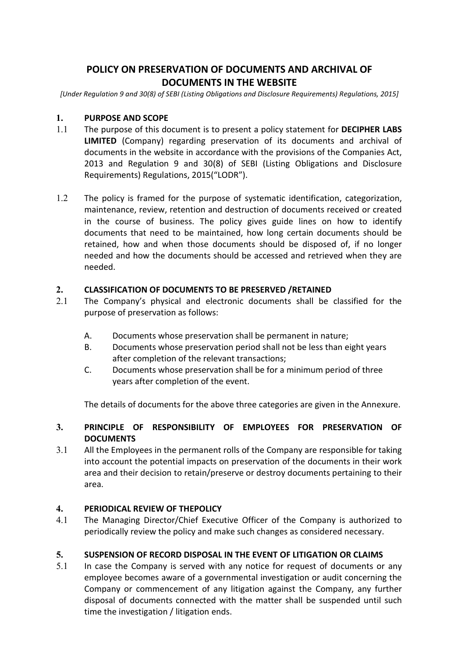# POLICY ON PRESERVATION OF DOCUMENTS AND ARCHIVAL OF DOCUMENTS IN THE WEBSITE

[Under Regulation 9 and 30(8) of SEBI (Listing Obligations and Disclosure Requirements) Regulations, 2015]

#### 1. PURPOSE AND SCOPE

- 1.1 The purpose of this document is to present a policy statement for DECIPHER LABS LIMITED (Company) regarding preservation of its documents and archival of documents in the website in accordance with the provisions of the Companies Act, 2013 and Regulation 9 and 30(8) of SEBI (Listing Obligations and Disclosure Requirements) Regulations, 2015("LODR").
- 1.2 The policy is framed for the purpose of systematic identification, categorization, maintenance, review, retention and destruction of documents received or created in the course of business. The policy gives guide lines on how to identify documents that need to be maintained, how long certain documents should be retained, how and when those documents should be disposed of, if no longer needed and how the documents should be accessed and retrieved when they are needed.

### 2. CLASSIFICATION OF DOCUMENTS TO BE PRESERVED /RETAINED

- 2.1 The Company's physical and electronic documents shall be classified for the purpose of preservation as follows:
	- A. Documents whose preservation shall be permanent in nature;
	- B. Documents whose preservation period shall not be less than eight years after completion of the relevant transactions;
	- C. Documents whose preservation shall be for a minimum period of three years after completion of the event.

The details of documents for the above three categories are given in the Annexure.

# 3. PRINCIPLE OF RESPONSIBILITY OF EMPLOYEES FOR PRESERVATION OF **DOCUMENTS**

3.1 All the Employees in the permanent rolls of the Company are responsible for taking into account the potential impacts on preservation of the documents in their work area and their decision to retain/preserve or destroy documents pertaining to their area.

#### 4. PERIODICAL REVIEW OF THEPOLICY

4.1 The Managing Director/Chief Executive Officer of the Company is authorized to periodically review the policy and make such changes as considered necessary.

## 5. SUSPENSION OF RECORD DISPOSAL IN THE EVENT OF LITIGATION OR CLAIMS

5.1 In case the Company is served with any notice for request of documents or any employee becomes aware of a governmental investigation or audit concerning the Company or commencement of any litigation against the Company, any further disposal of documents connected with the matter shall be suspended until such time the investigation / litigation ends.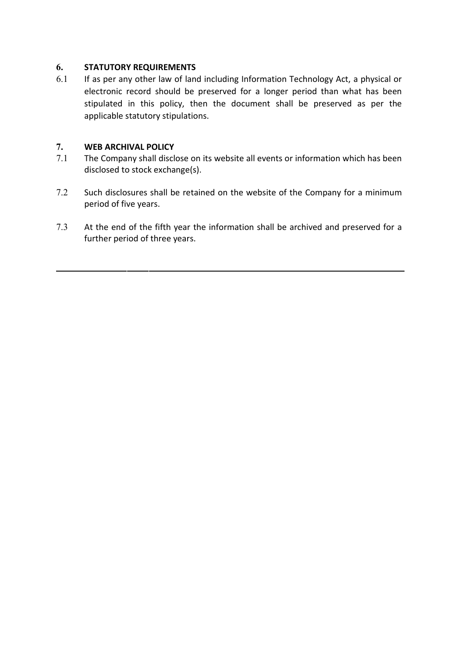# 6. STATUTORY REQUIREMENTS

6.1 If as per any other law of land including Information Technology Act, a physical or electronic record should be preserved for a longer period than what has been stipulated in this policy, then the document shall be preserved as per the applicable statutory stipulations.

# 7. WEB ARCHIVAL POLICY

- 7.1 The Company shall disclose on its website all events or information which has been disclosed to stock exchange(s).
- 7.2 Such disclosures shall be retained on the website of the Company for a minimum period of five years.
- 7.3 At the end of the fifth year the information shall be archived and preserved for a further period of three years.